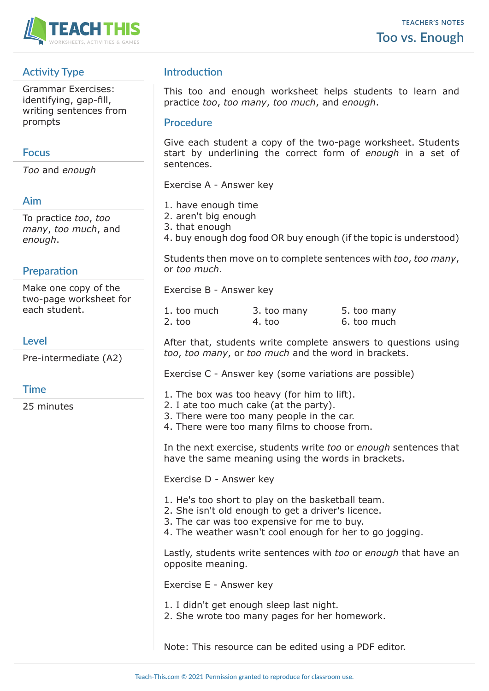

# **Activity Type**

Grammar Exercises: identifying, gap-fill, writing sentences from prompts

# **Focus**

*Too* and *enough*

# **Aim**

To practice *too*, *too many*, *too much*, and *enough*.

# **Preparation**

Make one copy of the two-page worksheet for each student.

# **Level**

Pre-intermediate (A2)

# **Time**

25 minutes

# **Introduction**

This too and enough worksheet helps students to learn and practice *too*, *too many*, *too much*, and *enough*.

#### **Procedure**

Give each student a copy of the two-page worksheet. Students start by underlining the correct form of *enough* in a set of sentences.

Exercise A - Answer key

- 1. have enough time
- 2. aren't big enough
- 3. that enough
- 4. buy enough dog food OR buy enough (if the topic is understood)

Students then move on to complete sentences with *too*, *too many*, or *too much*.

Exercise B - Answer key

| 1. too much     | 3. too many | 5. too many |
|-----------------|-------------|-------------|
| $2.~\text{too}$ | 4. too      | 6. too much |

After that, students write complete answers to questions using *too*, *too many*, or *too much* and the word in brackets.

Exercise C - Answer key (some variations are possible)

- 1. The box was too heavy (for him to lift).
- 2. I ate too much cake (at the party).
- 3. There were too many people in the car.
- 4. There were too many films to choose from.

In the next exercise, students write *too* or *enough* sentences that have the same meaning using the words in brackets.

Exercise D - Answer key

- 1. He's too short to play on the basketball team.
- 2. She isn't old enough to get a driver's licence.
- 3. The car was too expensive for me to buy.
- 4. The weather wasn't cool enough for her to go jogging.

Lastly, students write sentences with *too* or *enough* that have an opposite meaning.

Exercise E - Answer key

- 1. I didn't get enough sleep last night.
- 2. She wrote too many pages for her homework.

Note: This resource can be edited using a PDF editor.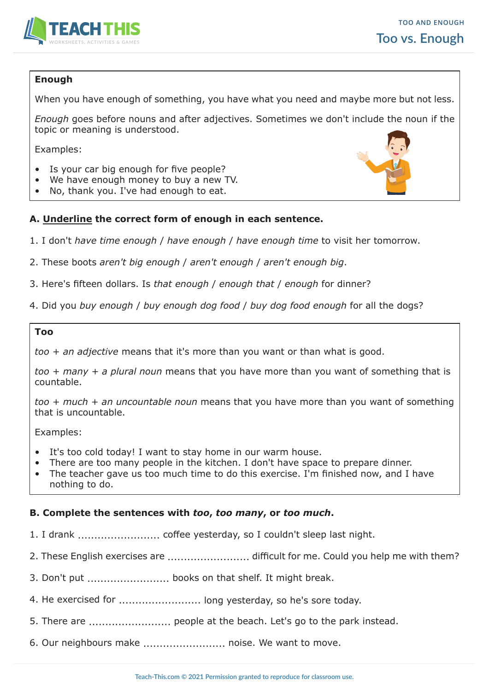

# **Enough**

When you have enough of something, you have what you need and maybe more but not less.

*Enough* goes before nouns and after adjectives. Sometimes we don't include the noun if the topic or meaning is understood.

Examples:

- Is your car big enough for five people?
- We have enough money to buy a new TV.
- No, thank you. I've had enough to eat.



- 1. I don't *have time enough* / *have enough* / *have enough time* to visit her tomorrow.
- 2. These boots *aren't big enough* / *aren't enough* / *aren't enough big*.
- 3. Here's fifteen dollars. Is *that enough* / *enough that* / *enough* for dinner?

4. Did you *buy enough* / *buy enough dog food* / *buy dog food enough* for all the dogs?

#### **Too**

*too* + *an adjective* means that it's more than you want or than what is good.

*too* + *many* + *a plural noun* means that you have more than you want of something that is countable.

*too* + *much* + *an uncountable noun* means that you have more than you want of something that is uncountable.

Examples:

- It's too cold today! I want to stay home in our warm house.
- There are too many people in the kitchen. I don't have space to prepare dinner.
- The teacher gave us too much time to do this exercise. I'm finished now, and I have nothing to do.

#### **B. Complete the sentences with** *too***,** *too many***, or** *too much***.**

- 1. I drank ......................... coffee yesterday, so I couldn't sleep last night.
- 2. These English exercises are ......................... difficult for me. Could you help me with them?
- 3. Don't put ......................... books on that shelf. It might break.
- 4. He exercised for ............................. long yesterday, so he's sore today.
- 5. There are ......................... people at the beach. Let's go to the park instead.
- 6. Our neighbours make ......................... noise. We want to move.